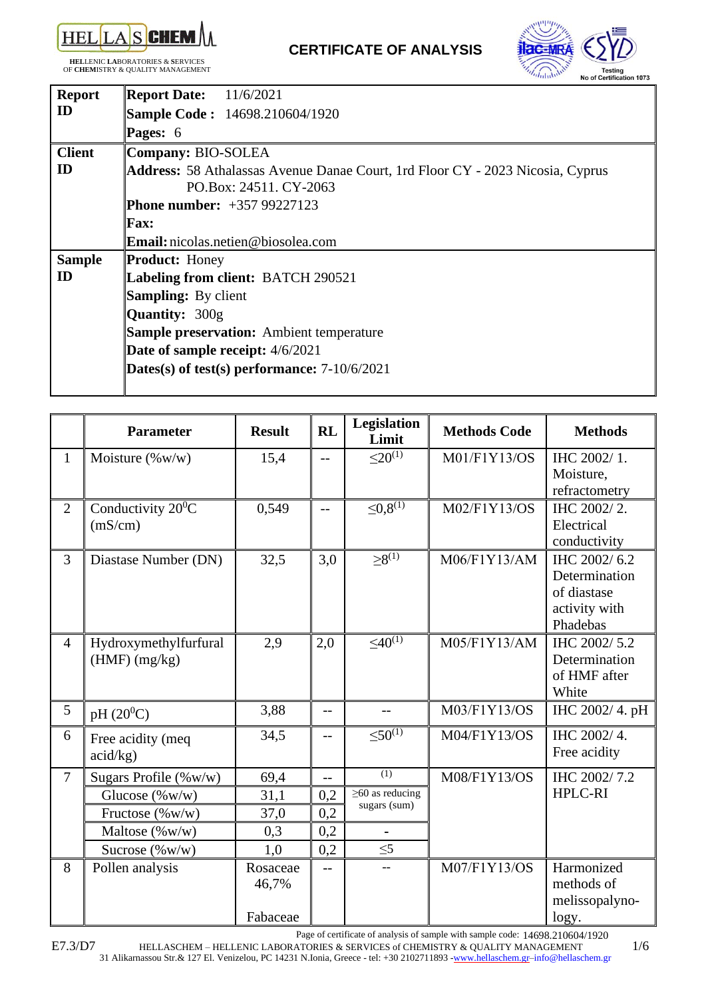

**HEL**LENIC **LA**BORATORIES & **S**ERVICES OF **CHEM**ISTRY & QUALITY MANAGEMENT



| <b>Report</b> | <b>Report Date:</b> 11/6/2021                                                         |
|---------------|---------------------------------------------------------------------------------------|
| ID            | <b>Sample Code: 14698.210604/1920</b>                                                 |
|               | Pages: 6                                                                              |
| <b>Client</b> | Company: BIO-SOLEA                                                                    |
| ID            | <b>Address:</b> 58 Athalassas Avenue Danae Court, 1rd Floor CY - 2023 Nicosia, Cyprus |
|               | PO.Box: 24511. CY-2063                                                                |
|               | <b>Phone number:</b> $+35799227123$                                                   |
|               | <b>Fax:</b>                                                                           |
|               | <b>Email:</b> nicolas.netien@biosolea.com                                             |
| <b>Sample</b> | <b>Product: Honey</b>                                                                 |
| ID            | Labeling from client: BATCH 290521                                                    |
|               | <b>Sampling:</b> By client                                                            |
|               | <b>Quantity: 300g</b>                                                                 |
|               | <b>Sample preservation:</b> Ambient temperature                                       |
|               | Date of sample receipt: 4/6/2021                                                      |
|               | Dates(s) of test(s) performance: $7-10/6/2021$                                        |
|               |                                                                                       |

|                | <b>Parameter</b>               | <b>Result</b> | <b>RL</b> | Legislation<br>Limit     | <b>Methods Code</b> | <b>Methods</b>               |
|----------------|--------------------------------|---------------|-----------|--------------------------|---------------------|------------------------------|
| $\mathbf{1}$   | Moisture $(\%w/w)$             | 15,4          |           | $\leq 20^{(1)}$          | M01/F1Y13/OS        | IHC 2002/1.                  |
|                |                                |               |           |                          |                     | Moisture,                    |
|                |                                |               |           |                          |                     | refractometry                |
| $\overline{2}$ | Conductivity 20 <sup>0</sup> C | 0,549         | $-$       | $\leq 0.8^{(1)}$         | M02/F1Y13/OS        | IHC 2002/2.                  |
|                | (mS/cm)                        |               |           |                          |                     | Electrical                   |
|                |                                |               |           |                          |                     | conductivity                 |
| $\overline{3}$ | Diastase Number (DN)           | 32,5          | 3,0       | $\geq 8^{(1)}$           | M06/F1Y13/AM        | IHC 2002/6.2                 |
|                |                                |               |           |                          |                     | Determination<br>of diastase |
|                |                                |               |           |                          |                     | activity with                |
|                |                                |               |           |                          |                     | Phadebas                     |
| $\overline{4}$ | Hydroxymethylfurfural          | 2,9           | 2,0       | $\leq 40^{(1)}$          | M05/F1Y13/AM        | IHC 2002/5.2                 |
|                | $(HMF)$ (mg/kg)                |               |           |                          |                     | Determination                |
|                |                                |               |           |                          |                     | of HMF after                 |
|                |                                |               |           |                          |                     | White                        |
| 5              | $pH(20^0C)$                    | 3,88          | $-$       | $-$                      | M03/F1Y13/OS        | IHC 2002/4. pH               |
| 6              | Free acidity (meq              | 34,5          | $-$       | $\leq 50^{(1)}$          | M04/F1Y13/OS        | IHC 2002/4.                  |
|                | acid/kg)                       |               |           |                          |                     | Free acidity                 |
| $\tau$         | Sugars Profile $(\%w/w)$       | 69,4          | $-$       | (1)                      | M08/F1Y13/OS        | IHC 2002/7.2                 |
|                | Glucose $(\% w/w)$             | 31,1          | 0,2       | $\geq 60$ as reducing    |                     | <b>HPLC-RI</b>               |
|                | Fructose (%w/w)                | 37,0          | 0,2       | sugars (sum)             |                     |                              |
|                | Maltose (%w/w)                 | 0,3           | 0,2       | $\overline{\phantom{0}}$ |                     |                              |
|                | Sucrose $(\%w/w)$              | 1,0           | 0,2       | $\leq 5$                 |                     |                              |
| 8              | Pollen analysis                | Rosaceae      | $-$       | $\overline{a}$           | M07/F1Y13/OS        | Harmonized                   |
|                |                                | 46,7%         |           |                          |                     | methods of                   |
|                |                                |               |           |                          |                     | melissopalyno-               |
|                |                                | Fabaceae      |           |                          |                     | logy.                        |

Page of certificate of analysis of sample with sample code: 14698.210604/1920

HELLASCHEM – HELLENIC LABORATORIES & SERVICES of CHEMISTRY & QUALITY MANAGEMENT 1/6 31 Alikarnassou Str.& 127 El. Venizelou, PC 14231 N.Ionia, Greece - tel: +30 2102711893 [-www.hellaschem.gr](http://www.hellaschem.gr/)[–info@hellaschem.gr](mailto:info@hellaschem.gr)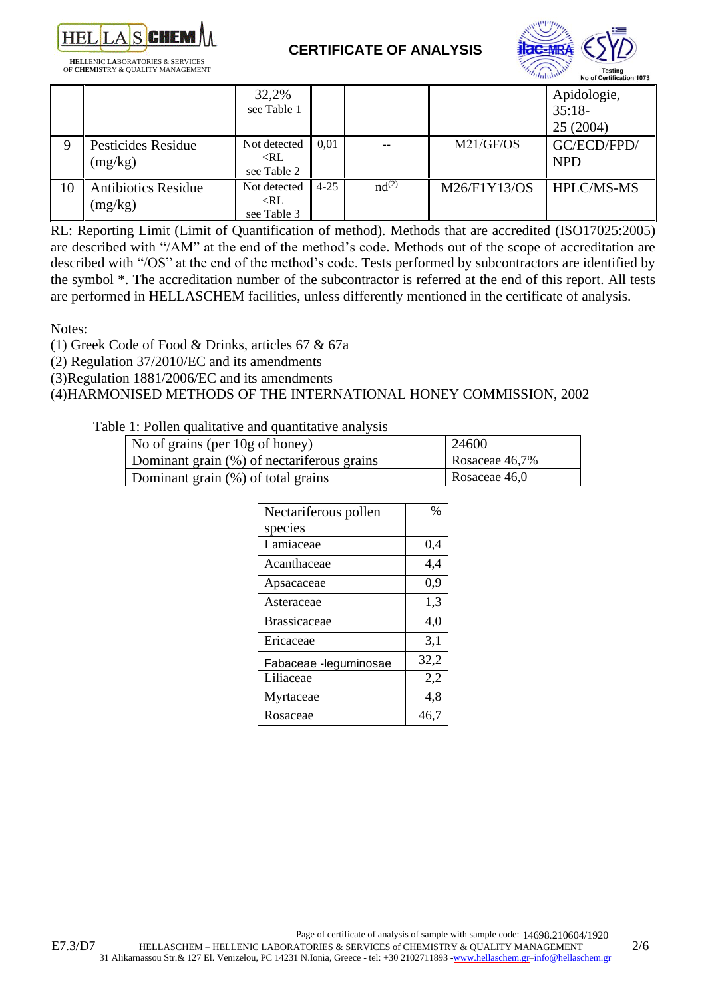

**HEL**LENIC **LA**BORATORIES & **S**ERVICES OF **CHEM**ISTRY & QUALITY MANAGEMENT  **CERTIFICATE OF ANALYSIS**



|    |                                       | 32,2%<br>see Table 1                         |          |                   |              | Apidologie,<br>$35:18-$<br>25 (2004) |
|----|---------------------------------------|----------------------------------------------|----------|-------------------|--------------|--------------------------------------|
| Q  | Pesticides Residue<br>(mg/kg)         | Not detected<br>$\langle R L$<br>see Table 2 | 0.01     |                   | M21/GF/OS    | GC/ECD/FPD/<br><b>NPD</b>            |
| 10 | <b>Antibiotics Residue</b><br>(mg/kg) | Not detected<br>$\langle R L$<br>see Table 3 | $4 - 25$ | nd <sup>(2)</sup> | M26/F1Y13/OS | <b>HPLC/MS-MS</b>                    |

RL: Reporting Limit (Limit of Quantification of method). Methods that are accredited (ISO17025:2005) are described with "/AM" at the end of the method's code. Methods out of the scope of accreditation are described with "/OS" at the end of the method's code. Tests performed by subcontractors are identified by the symbol \*. The accreditation number of the subcontractor is referred at the end of this report. All tests are performed in HELLASCHEM facilities, unless differently mentioned in the certificate of analysis.

Notes:

(1) Greek Code of Food & Drinks, articles 67 & 67a

(2) Regulation 37/2010/EC and its amendments

(3)Regulation 1881/2006/EC and its amendments

### (4)HARMONISED METHODS OF THE INTERNATIONAL HONEY COMMISSION, 2002

### Table 1: Pollen qualitative and quantitative analysis

| No of grains (per $10g$ of honey)          | 24600          |
|--------------------------------------------|----------------|
| Dominant grain (%) of nectariferous grains | Rosaceae 46,7% |
| Dominant grain (%) of total grains         | Rosaceae 46,0  |

| Nectariferous pollen  | %    |
|-----------------------|------|
| species               |      |
| Lamiaceae             | 0,4  |
| Acanthaceae           | 4,4  |
| Apsacaceae            | 0,9  |
| Asteraceae            | 1,3  |
| <b>Brassicaceae</b>   | 4,0  |
| Ericaceae             | 3,1  |
| Fabaceae -leguminosae | 32,2 |
| Liliaceae             | 2,2  |
| Myrtaceae             | 4,8  |
| Rosaceae              | 46,7 |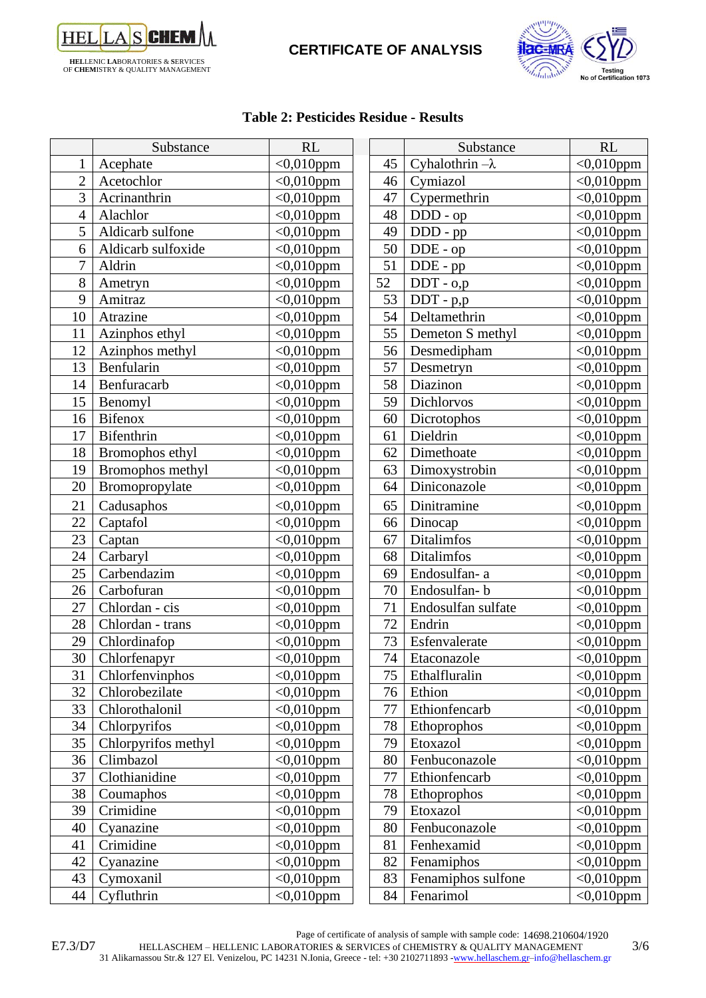

# **CERTIFICATE OF ANALYSIS**



### **Table 2: Pesticides Residue - Results**

|                | Substance           | <b>RL</b>        |    | Substance              | <b>RL</b>               |
|----------------|---------------------|------------------|----|------------------------|-------------------------|
| 1              | Acephate            | $<$ 0,010ppm     | 45 | Cyhalothrin $-\lambda$ | $<0,010$ ppm            |
| $\overline{2}$ | Acetochlor          | $\sim 0.010$ ppm | 46 | Cymiazol               | $\overline{<}0,010$ ppm |
| 3              | Acrinanthrin        | $<0,010$ ppm     | 47 | Cypermethrin           | $<0,010$ ppm            |
| $\overline{4}$ | Alachlor            | $<0,010$ ppm     | 48 | DDD - op               | $<0,010$ ppm            |
| 5              | Aldicarb sulfone    | $<0,010$ ppm     | 49 | $DDD - pp$             | $<0,010$ ppm            |
| 6              | Aldicarb sulfoxide  | $<0,010$ ppm     | 50 | $DDE$ - $op$           | $<0,010$ ppm            |
| $\overline{7}$ | Aldrin              | $<0.010$ ppm     | 51 | DDE - pp               | $<0,010$ ppm            |
| 8              | Ametryn             | $<0.010$ ppm     | 52 | DDT - 0,p              | $<0,010$ ppm            |
| 9              | Amitraz             | $<0,010$ ppm     | 53 | $DDT - p,p$            | $<0,010$ ppm            |
| 10             | Atrazine            | $<0,010$ ppm     | 54 | Deltamethrin           | $<0,010$ ppm            |
| 11             | Azinphos ethyl      | $<0,010$ ppm     | 55 | Demeton S methyl       | $<0,010$ ppm            |
| 12             | Azinphos methyl     | $<0,010$ ppm     | 56 | Desmedipham            | $<0,010$ ppm            |
| 13             | Benfularin          | $<0,010$ ppm     | 57 | Desmetryn              | $<0.010$ ppm            |
| 14             | Benfuracarb         | $<0.010$ ppm     | 58 | Diazinon               | $<0,010$ ppm            |
| 15             | Benomyl             | $<0,010$ ppm     | 59 | Dichlorvos             | $<$ 0,010ppm            |
| 16             | <b>Bifenox</b>      | $<0,010$ ppm     | 60 | Dicrotophos            | $<$ 0,010ppm            |
| 17             | Bifenthrin          | $<0.010$ ppm     | 61 | Dieldrin               | $<0,010$ ppm            |
| 18             | Bromophos ethyl     | $<0,010$ ppm     | 62 | Dimethoate             | $<0,010$ ppm            |
| 19             | Bromophos methyl    | $<0,010$ ppm     | 63 | Dimoxystrobin          | $<0,010$ ppm            |
| 20             | Bromopropylate      | $<0,010$ ppm     | 64 | Diniconazole           | $\overline{<}0,010$ ppm |
| 21             | Cadusaphos          | $<0.010$ ppm     | 65 | Dinitramine            | $<0,010$ ppm            |
| 22             | Captafol            | $<0,010$ ppm     | 66 | Dinocap                | $<$ 0,010ppm            |
| 23             | Captan              | $<0,010$ ppm     | 67 | Ditalimfos             | $<0,010$ ppm            |
| 24             | Carbaryl            | $<0,010$ ppm     | 68 | <b>Ditalimfos</b>      | $<0,010$ ppm            |
| 25             | Carbendazim         | $<$ 0,010ppm     | 69 | Endosulfan-a           | $<0,010$ ppm            |
| 26             | Carbofuran          | $<0,010$ ppm     | 70 | Endosulfan-b           | $<0,010$ ppm            |
| 27             | Chlordan - cis      | $<0.010$ ppm     | 71 | Endosulfan sulfate     | $< 0,010$ ppm           |
| 28             | Chlordan - trans    | $<0,010$ ppm     | 72 | Endrin                 | $<$ 0,010ppm            |
| 29             | Chlordinafop        | $<0,010$ ppm     | 73 | Esfenvalerate          | $<0,010$ ppm            |
| 30             | Chlorfenapyr        | $<0,010$ ppm     | 74 | Etaconazole            | $<0,010$ ppm            |
| 31             | Chlorfenvinphos     | $<0,010$ ppm     | 75 | Ethalfluralin          | $<0,010$ ppm            |
| 32             | Chlorobezilate      | $<0.010$ ppm     | 76 | Ethion                 | $<0,010$ ppm            |
| 33             | Chlorothalonil      | $<0,010$ ppm     | 77 | Ethionfencarb          | $<0,010$ ppm            |
| 34             | Chlorpyrifos        | $<0.010$ ppm     | 78 | Ethoprophos            | $<0,010$ ppm            |
| 35             | Chlorpyrifos methyl | $<0,010$ ppm     | 79 | Etoxazol               | $<0,010$ ppm            |
| 36             | Climbazol           | $<0.010$ ppm     | 80 | Fenbuconazole          | $<0,010$ ppm            |
| 37             | Clothianidine       | $<0,010$ ppm     | 77 | Ethionfencarb          | $<0,010$ ppm            |
| 38             | Coumaphos           | $<0,010$ ppm     | 78 | Ethoprophos            | $<0,010$ ppm            |
| 39             | Crimidine           | $<0,010$ ppm     | 79 | Etoxazol               | $<0,010$ ppm            |
| 40             | Cyanazine           | $<0,010$ ppm     | 80 | Fenbuconazole          | $<0,010$ ppm            |
| 41             | Crimidine           | $<0,010$ ppm     | 81 | Fenhexamid             | $<0,010$ ppm            |
| 42             | Cyanazine           | $<0,010$ ppm     | 82 | Fenamiphos             | $<0,010$ ppm            |
| 43             | Cymoxanil           | $<0,010$ ppm     | 83 | Fenamiphos sulfone     | $<$ 0,010ppm            |
| 44             | Cyfluthrin          | $<$ 0,010ppm     | 84 | Fenarimol              | $<$ 0,010ppm            |

Page of certificate of analysis of sample with sample code: 14698.210604/1920

E7.3/D7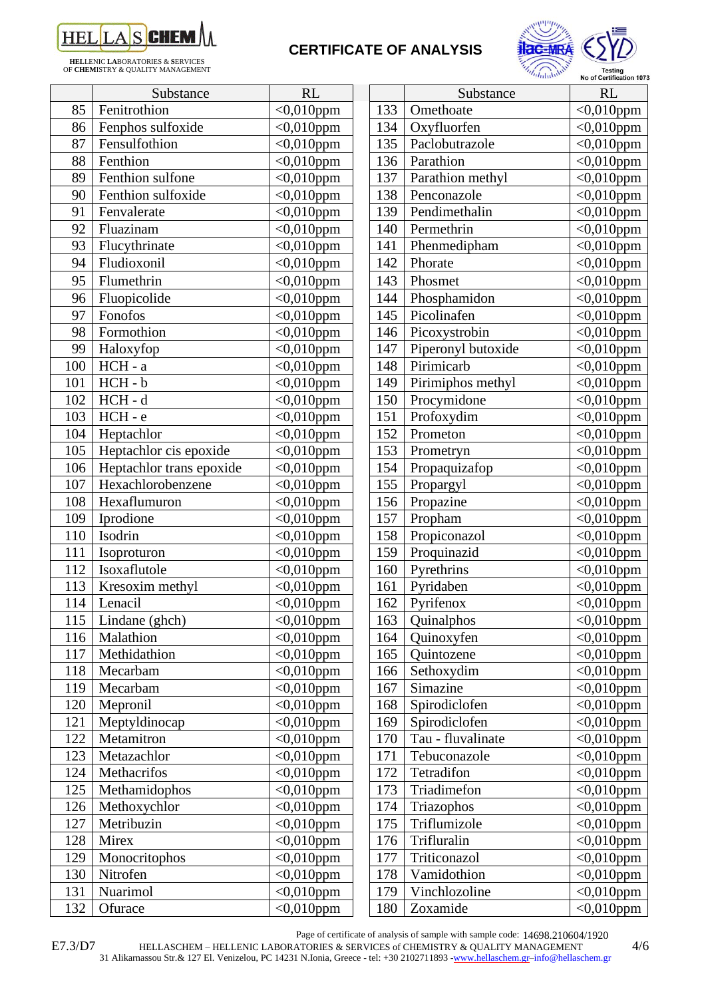

**HEL**LENIC **LA**BORATORIES & **S**ERVICES OF **CHEM**ISTRY & QUALITY MANAGEMENT

# **CERTIFICATE OF ANALYSIS**



|     | Substance                | RL           |     | Substance          | <b>RL</b>               |
|-----|--------------------------|--------------|-----|--------------------|-------------------------|
| 85  | Fenitrothion             | $<0,010$ ppm | 133 | Omethoate          | $<$ 0,010ppm            |
| 86  | Fenphos sulfoxide        | $<0,010$ ppm | 134 | Oxyfluorfen        | $<0.010$ ppm            |
| 87  | Fensulfothion            | $<$ 0,010ppm | 135 | Paclobutrazole     | $<$ 0,010ppm            |
| 88  | Fenthion                 | $<0,010$ ppm | 136 | Parathion          | $<$ 0,010ppm            |
| 89  | Fenthion sulfone         | $<0,010$ ppm | 137 | Parathion methyl   | $<$ 0,010ppm            |
| 90  | Fenthion sulfoxide       | $<0,010$ ppm | 138 | Penconazole        | $<$ 0,010ppm            |
| 91  | Fenvalerate              | $<0,010$ ppm | 139 | Pendimethalin      | $<0.010$ ppm            |
| 92  | Fluazinam                | $<0,010$ ppm | 140 | Permethrin         | $<$ 0,010ppm            |
| 93  | Flucythrinate            | $<0,010$ ppm | 141 | Phenmedipham       | $<0,010$ ppm            |
| 94  | Fludioxonil              | $<0,010$ ppm | 142 | Phorate            | $<0,010$ ppm            |
| 95  | Flumethrin               | $<0,010$ ppm | 143 | Phosmet            | $<$ 0,010ppm            |
| 96  | Fluopicolide             | $<0,010$ ppm | 144 | Phosphamidon       | $<0.010$ ppm            |
| 97  | Fonofos                  | $<0.010$ ppm | 145 | Picolinafen        | $<$ 0,010ppm            |
| 98  | Formothion               | $<0,010$ ppm | 146 | Picoxystrobin      | $<$ 0,010ppm            |
| 99  | Haloxyfop                | $<0,010$ ppm | 147 | Piperonyl butoxide | $\sqrt{0.010}$ ppm      |
| 100 | $HCH - a$                | $<0,010$ ppm | 148 | Pirimicarb         | $<0,010$ ppm            |
| 101 | HCH-b                    | $<0,010$ ppm | 149 | Pirimiphos methyl  | $<0,010$ ppm            |
| 102 | $HCH - d$                | $<0,010$ ppm | 150 | Procymidone        | $<$ 0,010ppm            |
| 103 | HCH-e                    | $<0,010$ ppm | 151 | Profoxydim         | $<$ 0,010ppm            |
| 104 | Heptachlor               | $<$ 0,010ppm | 152 | Prometon           | $<0,010$ ppm            |
| 105 | Heptachlor cis epoxide   | $<0,010$ ppm | 153 | Prometryn          | $<$ 0,010ppm            |
| 106 | Heptachlor trans epoxide | $<0,010$ ppm | 154 | Propaquizafop      | $<0,010$ ppm            |
| 107 | Hexachlorobenzene        | $<0,010$ ppm | 155 | Propargyl          | $<$ 0,010ppm            |
| 108 | Hexaflumuron             | $<0,010$ ppm | 156 | Propazine          | $<$ 0,010ppm            |
| 109 | Iprodione                | $<0,010$ ppm | 157 | Propham            | $<0,010$ ppm            |
| 110 | Isodrin                  | $<0,010$ ppm | 158 | Propiconazol       | $<$ 0,010ppm            |
| 111 | Isoproturon              | $<$ 0,010ppm | 159 | Proquinazid        | $<$ 0,010ppm            |
| 112 | Isoxaflutole             | $<0,010$ ppm | 160 | Pyrethrins         | $\sqrt{0.010}$ ppm      |
| 113 | Kresoxim methyl          | $<0,010$ ppm | 161 | Pyridaben          | $<$ 0,010ppm            |
| 114 | Lenacil                  | $<0,010$ ppm | 162 | Pyrifenox          | $<0,010$ ppm            |
| 115 | Lindane (ghch)           | $<0,010$ ppm | 163 | Quinalphos         | $<$ 0,010ppm            |
| 116 | Malathion                | $<0,010$ ppm | 164 | Quinoxyfen         | $<0,010$ ppm            |
| 117 | Methidathion             | $<0,010$ ppm | 165 | Quintozene         | $<0,010$ ppm            |
| 118 | Mecarbam                 | $<0,010$ ppm | 166 | Sethoxydim         | $<0,010$ ppm            |
| 119 | Mecarbam                 | $<0,010$ ppm | 167 | Simazine           | $<0,010$ ppm            |
| 120 | Mepronil                 | $<0,010$ ppm | 168 | Spirodiclofen      | $\overline{<}0,010$ ppm |
| 121 | Meptyldinocap            | $<0,010$ ppm | 169 | Spirodiclofen      | $<0,010$ ppm            |
| 122 | Metamitron               | $<0.010$ ppm | 170 | Tau - fluvalinate  | $<0,010$ ppm            |
| 123 | Metazachlor              | $<0.010$ ppm | 171 | Tebuconazole       | $<0,010$ ppm            |
| 124 | Methacrifos              | $<0,010$ ppm | 172 | Tetradifon         | $<0,010$ ppm            |
| 125 | Methamidophos            | $<0,010$ ppm | 173 | Triadimefon        | $<$ 0,010ppm            |
| 126 | Methoxychlor             | $<0,010$ ppm | 174 | Triazophos         | $<0,010$ ppm            |
| 127 | Metribuzin               | $<0,010$ ppm | 175 | Triflumizole       | $<0.010$ ppm            |
| 128 | Mirex                    | $<0,010$ ppm | 176 | Trifluralin        | $<0,010$ ppm            |
| 129 | Monocritophos            | $<0,010$ ppm | 177 | Triticonazol       | $<$ 0,010ppm            |
| 130 | Nitrofen                 | $<0,010$ ppm | 178 | Vamidothion        | $<$ 0,010ppm            |
| 131 | Nuarimol                 | $<0,010$ ppm | 179 | Vinchlozoline      | $<$ 0,010ppm            |
| 132 | Ofurace                  | $<0,010$ ppm | 180 | Zoxamide           | $<0,010$ ppm            |

|     | "alumnin           | <b>Testing</b><br>No of Certification 1073 |
|-----|--------------------|--------------------------------------------|
|     | Substance          | <b>RL</b>                                  |
| 133 | Omethoate          | $<$ 0,010ppm                               |
| 134 | Oxyfluorfen        | $<0,010$ ppm                               |
| 135 | Paclobutrazole     | $<$ 0,010ppm                               |
| 136 | Parathion          | $<0,010$ ppm                               |
| 137 | Parathion methyl   | $<$ 0,010ppm                               |
| 138 | Penconazole        | $<0,010$ ppm                               |
| 139 | Pendimethalin      | $<0,010$ ppm                               |
| 140 | Permethrin         | $<$ 0,010ppm                               |
| 141 | Phenmedipham       | $<$ 0,010ppm                               |
| 142 | Phorate            | $<$ 0,010ppm                               |
| 143 | Phosmet            | $<0,010$ ppm                               |
| 144 | Phosphamidon       | $<$ 0,010ppm                               |
| 145 | Picolinafen        | $<$ 0,010ppm                               |
| 146 | Picoxystrobin      | $<$ 0,010ppm                               |
| 147 | Piperonyl butoxide | $<$ 0,010ppm                               |
| 148 | Pirimicarb         | $<$ 0,010ppm                               |
| 149 | Pirimiphos methyl  | $<$ 0,010ppm                               |
| 150 | Procymidone        | $<$ 0,010ppm                               |
| 151 | Profoxydim         | $<0,010$ ppm                               |
| 152 | Prometon           | $<$ 0,010ppm                               |
| 153 | Prometryn          | $<$ 0,010ppm                               |
| 154 | Propaquizafop      | $<$ 0,010ppm                               |
| 155 | Propargyl          | $<0,010$ ppm                               |
| 156 | Propazine          | $<$ 0,010ppm                               |
| 157 | Propham            | $<$ 0,010ppm                               |
| 158 | Propiconazol       | $<$ 0,010ppm                               |
| 159 | Proquinazid        | $<$ 0,010ppm                               |
| 160 | Pyrethrins         | $<0,010$ ppm                               |
| 161 | Pyridaben          | $<$ 0,010ppm                               |
| 162 | Pyrifenox          | $<$ 0,010ppm                               |
| 163 | Quinalphos         | $<0,010$ ppm                               |
| 164 | Quinoxyfen         | $<0,010$ ppm                               |
| 165 | Ouintozene         | $<$ 0,010ppm                               |
| 166 | Sethoxydim         | $<0,010$ ppm                               |
| 167 | Simazine           | $<0,010$ ppm                               |
| 168 | Spirodiclofen      | $<0,010$ ppm                               |
| 169 | Spirodiclofen      | $<$ 0,010ppm                               |
| 170 | Tau - fluvalinate  | $<$ 0,010ppm                               |
| 171 | Tebuconazole       | $<$ 0,010ppm                               |
| 172 | Tetradifon         | $<0,010$ ppm                               |
| 173 | Triadimefon        | $<$ 0,010ppm                               |
| 174 | Triazophos         | $<0,010$ ppm                               |
| 175 | Triflumizole       | $<0,010$ ppm                               |
| 176 | Trifluralin        | $<$ 0,010ppm                               |
| 177 | Triticonazol       | $<0,010$ ppm                               |
| 178 | Vamidothion        | $<0,010$ ppm                               |
| 179 | Vinchlozoline      | $<0,010$ ppm                               |

Page of certificate of analysis of sample with sample code: 14698.210604/1920

HELLASCHEM – HELLENIC LABORATORIES & SERVICES of CHEMISTRY & QUALITY MANAGEMENT 4/6

31 Alikarnassou Str.& 127 El. Venizelou, PC 14231 N.Ionia, Greece - tel: +30 2102711893 [-www.hellaschem.gr](http://www.hellaschem.gr/)[–info@hellaschem.gr](mailto:info@hellaschem.gr)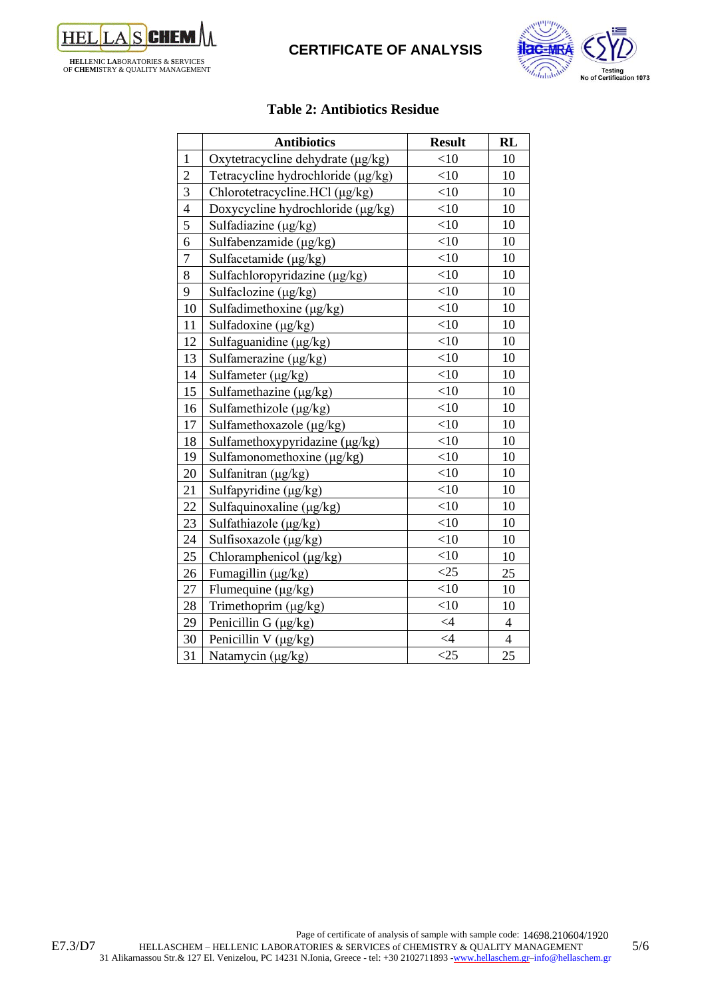

## **CERTIFICATE OF ANALYSIS**



### **Table 2: Antibiotics Residue**

|                | <b>Antibiotics</b>                 | <b>Result</b>   | <b>RL</b>                |
|----------------|------------------------------------|-----------------|--------------------------|
| $\mathbf{1}$   | Oxytetracycline dehydrate (µg/kg)  | $<$ 10          | 10                       |
| $\overline{2}$ | Tetracycline hydrochloride (µg/kg) | $<$ 10          | 10                       |
| $\overline{3}$ | Chlorotetracycline.HCl (μg/kg)     | $<$ 10          | 10                       |
| $\overline{4}$ | Doxycycline hydrochloride (µg/kg)  | $<$ 10          | 10                       |
| 5              | Sulfadiazine (µg/kg)               | $<$ 10          | 10                       |
| 6              | Sulfabenzamide (μg/kg)             | $<$ 10          | 10                       |
| $\overline{7}$ | Sulfacetamide (µg/kg)              | $<$ 10          | 10                       |
| 8              | Sulfachloropyridazine (μg/kg)      | $<$ 10          | 10                       |
| 9              | Sulfaclozine (µg/kg)               | <10             | 10                       |
| 10             | Sulfadimethoxine $(\mu g/kg)$      | <10             | 10                       |
| 11             | Sulfadoxine (µg/kg)                | <10             | 10                       |
| 12             | Sulfaguanidine (μg/kg)             | <10             | 10                       |
| 13             | Sulfamerazine $(\mu g/kg)$         | <10             | 10                       |
| 14             | Sulfameter (µg/kg)                 | $<$ 10          | 10                       |
| 15             | Sulfamethazine (μg/kg)             | <10             | 10                       |
| 16             | Sulfamethizole $(\mu g/kg)$        | <10             | 10                       |
| 17             | Sulfamethoxazole (µg/kg)           | $<$ 10          | 10                       |
| 18             | Sulfamethoxypyridazine (μg/kg)     | <10             | 10                       |
| 19             | Sulfamonomethoxine (µg/kg)         | <10             | 10                       |
| 20             | Sulfanitran (µg/kg)                | <10             | 10                       |
| 21             | Sulfapyridine (μg/kg)              | $<$ 10          | 10                       |
| 22             | Sulfaquinoxaline ( $\mu$ g/kg)     | <10             | 10                       |
| 23             | Sulfathiazole (µg/kg)              | $<$ 10          | 10                       |
| 24             | Sulfisoxazole (μg/kg)              | $<$ 10          | 10                       |
| 25             | Chloramphenicol (µg/kg)            | <10             | 10                       |
| 26             | Fumagillin (µg/kg)                 | $<$ 25          | 25                       |
| 27             | Flumequine (μg/kg)                 | $<$ 10          | 10                       |
| 28             | Trimethoprim (μg/kg)               | $<$ 10          | 10                       |
| 29             | Penicillin G $(\mu g/kg)$          | $\leq 4$        | $\overline{\mathcal{L}}$ |
| 30             | Penicillin V (µg/kg)               | $\leq$ 4        | $\overline{4}$           |
| 31             | Natamycin (µg/kg)                  | $\overline{25}$ | 25                       |